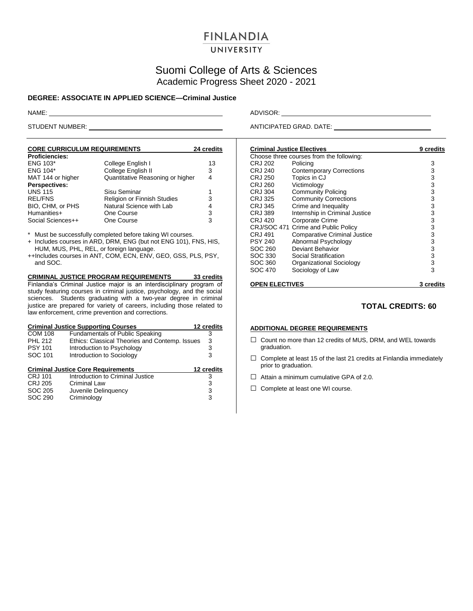# **FINLANDIA**

## UNIVERSITY

# Suomi College of Arts & Sciences Academic Progress Sheet 2020 - 2021

### **DEGREE: ASSOCIATE IN APPLIED SCIENCE—Criminal Justice**

**CORE CURRICULUM REQUIREMENTS 24 credits Proficiencies:** College English I 13 ENG 104\* College English II 3<br>MAT 144 or higher Quantitative Reasoning or higher 4 Quantitative Reasoning or higher 4 **Perspectives:** UNS 115 Sisu Seminar 1<br>
REL/FNS Religion or Finnish Studies 3 REL/FNS Religion or Finnish Studies 3<br>
BIO. CHM. or PHS Natural Science with Lab 4 BIO, CHM, or PHS Natural Science with Lab 4<br>
Humanities+ One Course 3 Port Course 3<br>
Humanities<br>
One Course 3 Social Sciences++

\* Must be successfully completed before taking WI courses.

+ Includes courses in ARD, DRM, ENG (but not ENG 101), FNS, HIS, HUM, MUS, PHL, REL, or foreign language.

++Includes courses in ANT, COM, ECN, ENV, GEO, GSS, PLS, PSY, and SOC.

### **CRIMINAL JUSTICE PROGRAM REQUIREMENTS 33 credits**

Finlandia's Criminal Justice major is an interdisciplinary program of study featuring courses in criminal justice, psychology, and the social sciences. Students graduating with a two-year degree in criminal justice are prepared for variety of careers, including those related to law enforcement, crime prevention and corrections.

| <b>Criminal Justice Supporting Courses</b><br>12 credits |                                                |            |  |
|----------------------------------------------------------|------------------------------------------------|------------|--|
| <b>COM 108</b>                                           | <b>Fundamentals of Public Speaking</b>         | з          |  |
| <b>PHL 212</b>                                           | Ethics: Classical Theories and Contemp. Issues | 3          |  |
| <b>PSY 101</b>                                           | Introduction to Psychology                     | 3          |  |
| SOC 101                                                  | Introduction to Sociology                      | 3          |  |
|                                                          |                                                |            |  |
|                                                          | <b>Criminal Justice Core Requirements</b>      | 12 credits |  |
| CRJ 101                                                  | Introduction to Criminal Justice               | 3          |  |
| <b>CRJ 205</b>                                           | <b>Criminal Law</b>                            | 3          |  |
| SOC 205                                                  | Juvenile Delinguency                           | 3          |  |
| SOC 290                                                  | Criminology                                    | 3          |  |

NAME: ADVISOR:

STUDENT NUMBER: ANTICIPATED GRAD. DATE:

|                | <b>Criminal Justice Electives</b>        | 9 credits |
|----------------|------------------------------------------|-----------|
|                | Choose three courses from the following: |           |
| CRJ 202        | Policing                                 | 3         |
| CRJ 240        | <b>Contemporary Corrections</b>          | 3         |
| <b>CRJ 250</b> | Topics in CJ                             | 3         |
| CRJ 260        | Victimology                              | 3         |
| <b>CRJ 304</b> | <b>Community Policing</b>                | 3         |
| CRJ 325        | <b>Community Corrections</b>             | 3         |
| CRJ 345        | Crime and Inequality                     | 3         |
| CRJ 389        | Internship in Criminal Justice           | 3         |
| CRJ 420        | <b>Corporate Crime</b>                   | 3         |
|                | CRJ/SOC 471 Crime and Public Policy      | 3         |
| CRJ 491        | <b>Comparative Criminal Justice</b>      | 3         |
| <b>PSY 240</b> | Abnormal Psychology                      | 3         |
| SOC 260        | Deviant Behavior                         | 3         |
| SOC 330        | Social Stratification                    | 3         |
| SOC 360        | Organizational Sociology                 | 3         |
| SOC 470        | Sociology of Law                         | 3         |
|                |                                          |           |

### **OPEN ELECTIVES 3 credits**

### **TOTAL CREDITS: 60**

### **ADDITIONAL DEGREE REQUIREMENTS**

- □ Count no more than 12 credits of MUS, DRM, and WEL towards graduation.
- $\Box$  Complete at least 15 of the last 21 credits at Finlandia immediately prior to graduation.
- $\Box$  Attain a minimum cumulative GPA of 2.0.
- □ Complete at least one WI course.